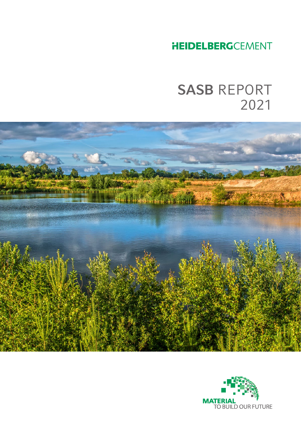

# 2021 SASB REPORT



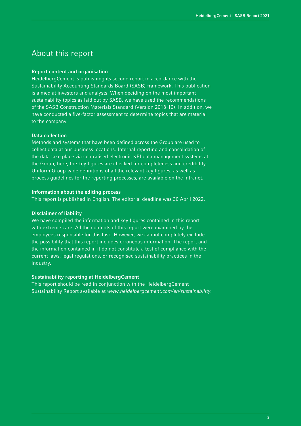### About this report

#### Report content and organisation

HeidelbergCement is publishing its second report in accordance with the Sustainability Accounting Standards Board (SASB) framework. This publication is aimed at investors and analysts. When deciding on the most important sustainability topics as laid out by SASB, we have used the recommendations of the SASB Construction Materials Standard (Version 2018-10). In addition, we have conducted a five-factor assessment to determine topics that are material to the company.

### Data collection

Methods and systems that have been defined across the Group are used to collect data at our business locations. Internal reporting and consolidation of the data take place via centralised electronic KPI data management systems at the Group; here, the key figures are checked for completeness and credibility. Uniform Group-wide definitions of all the relevant key figures, as well as process guidelines for the reporting processes, are available on the intranet.

#### Information about the editing process

This report is published in English. The editorial deadline was 30 April 2022.

### Disclaimer of liability

We have compiled the information and key figures contained in this report with extreme care. All the contents of this report were examined by the employees responsible for this task. However, we cannot completely exclude the possibility that this report includes erroneous information. The report and the information contained in it do not constitute a test of compliance with the current laws, legal regulations, or recognised sustainability practices in the industry.

#### Sustainability reporting at HeidelbergCement

This report should be read in conjunction with the HeidelbergCement Sustainability Report available at www.heidelbergcement.com/en/sustainability.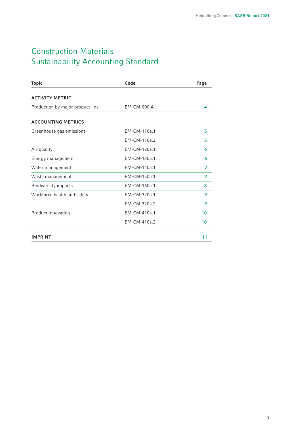# Construction Materials Sustainability Accounting Standard

| <b>Topic</b>                     | Code         | Page |
|----------------------------------|--------------|------|
| <b>ACTIVITY METRIC</b>           |              |      |
| Production by major product line | EM-CM-000.A  | 4    |
| <b>ACCOUNTING METRICS</b>        |              |      |
| Greenhouse gas emissions         | EM-CM-110a.1 | 5    |
|                                  | EM-CM-110a.2 | 5    |
| Air quality                      | FM-CM-120a.1 | 6    |
| Energy management                | EM-CM-130a.1 | 6    |
| Water management                 | EM-CM-140a.1 | 7    |
| Waste management                 | EM-CM-150a.1 | 7    |
| <b>Biodiversity impacts</b>      | EM-CM-160a.1 | 8    |
| Workforce health and safety      | EM-CM-320a.1 | 9    |
|                                  | EM-CM-320a.2 | 9    |
| Product innovation               | EM-CM-410a.1 | 10   |
|                                  | EM-CM-410a.2 | 10   |
| <b>IMPRINT</b>                   |              | 11   |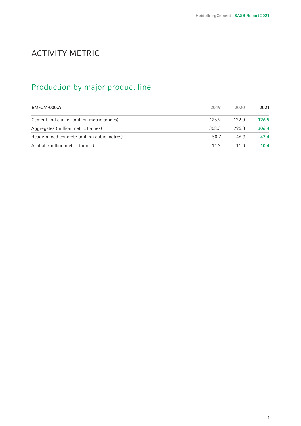# ACTIVITY METRIC

# Production by major product line

| <b>EM-CM-000.A</b>                          | 2019  | 2020  | 2021  |
|---------------------------------------------|-------|-------|-------|
| Cement and clinker (million metric tonnes)  | 125.9 | 122.0 | 126.5 |
| Aggregates (million metric tonnes)          | 308.3 | 296.3 | 306.4 |
| Ready-mixed concrete (million cubic metres) | 50.7  | 46.9  | 47.4  |
| Asphalt (million metric tonnes)             | 11.3  | 11.0  | 10.4  |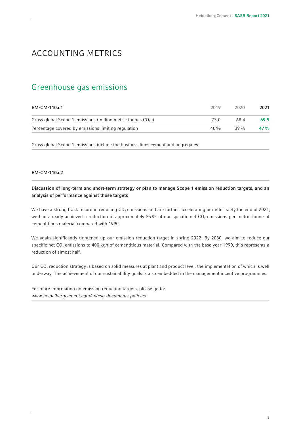### ACCOUNTING METRICS

### Greenhouse gas emissions

| <b>EM-CM-110a.1</b>                                            | 2019 | 2020 | 2021 |
|----------------------------------------------------------------|------|------|------|
| Gross global Scope 1 emissions (million metric tonnes $CO2e$ ) | 73.0 | 68.4 | 69.5 |
| Percentage covered by emissions limiting regulation            | 40%  | 39 % | 47%  |

Gross global Scope 1 emissions include the business lines cement and aggregates.

#### EM-CM-110a.2

Discussion of long-term and short-term strategy or plan to manage Scope 1 emission reduction targets, and an analysis of performance against those targets

We have a strong track record in reducing CO<sub>2</sub> emissions and are further accelerating our efforts. By the end of 2021, we had already achieved a reduction of approximately 25% of our specific net  $CO<sub>2</sub>$  emissions per metric tonne of cementitious material compared with 1990.

We again significantly tightened up our emission reduction target in spring 2022: By 2030, we aim to reduce our specific net CO<sub>2</sub> emissions to 400 kg/t of cementitious material. Compared with the base year 1990, this represents a reduction of almost half.

Our CO<sub>2</sub> reduction strategy is based on solid measures at plant and product level, the implementation of which is well underway. The achievement of our sustainability goals is also embedded in the management incentive programmes.

For more information on emission reduction targets, please go to: www.heidelbergcement.com/en/esg-documents-policies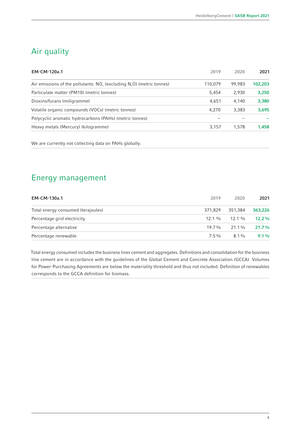# Air quality

| <b>EM-CM-120a.1</b>                                                         | 2019    | 2020   | 2021    |
|-----------------------------------------------------------------------------|---------|--------|---------|
| Air emissions of the pollutants: $NO_x$ (excluding $N_2O$ ) (metric tonnes) | 110,079 | 99,983 | 102,203 |
| Particulate matter (PM10) (metric tonnes)                                   | 5.454   | 2.930  | 3,250   |
| Dioxins/furans (miligramme)                                                 | 4,651   | 4,140  | 3,380   |
| Volatile organic compounds (VOCs) (metric tonnes)                           | 4.270   | 3.383  | 3,695   |
| Polycyclic aromatic hydrocarbons (PAHs) (metric tonnes)                     |         |        |         |
| Heavy metals (Mercury) (kilogramme)                                         | 3,157   | 1.578  | 1.458   |

We are currently not collecting data on PAHs globally.

### Energy management

| EM-CM-130a.1                       | 2019     | 2020            | 2021     |
|------------------------------------|----------|-----------------|----------|
| Total energy consumed (terajoules) |          | 371,829 351,384 | 363,226  |
| Percentage grid electricity        | $12.1\%$ | $12.1\%$        | $12.2\%$ |
| Percentage alternative             | $19.7\%$ | $21.1\%$        | $21.7\%$ |
| Percentage renewable               | $7.5\%$  | $8.1\%$         | $9.1\%$  |

Total energy consumed includes the business lines cement and aggregates. Definitions and consolidation for the business line cement are in accordance with the guidelines of the Global Cement and Concrete Association (GCCA). Volumes for Power-Purchasing Agreements are below the materiality threshold and thus not included. Definition of renewables corresponds to the GCCA definition for biomass.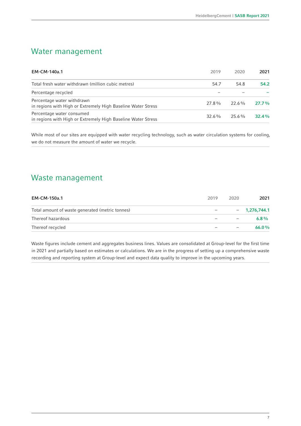### Water management

| EM-CM-140a.1                                                                               | 2019     | 2020     | 2021     |
|--------------------------------------------------------------------------------------------|----------|----------|----------|
| Total fresh water withdrawn (million cubic metres)                                         | 54.7     | 54.8     | 54.2     |
| Percentage recycled                                                                        |          |          |          |
| Percentage water withdrawn<br>in regions with High or Extremely High Baseline Water Stress | $27.8\%$ | $22.6\%$ | $27.7\%$ |
| Percentage water consumed<br>in regions with High or Extremely High Baseline Water Stress  | $32.6\%$ | $25.6\%$ | $32.4\%$ |

While most of our sites are equipped with water recycling technology, such as water circulation systems for cooling, we do not measure the amount of water we recycle.

### Waste management

| <b>EM-CM-150a.1</b>                             | 2019 | 2020 | 2021           |
|-------------------------------------------------|------|------|----------------|
| Total amount of waste generated (metric tonnes) |      |      | $-1,276,744.1$ |
| Thereof hazardous                               |      |      | $6.8\%$        |
| Thereof recycled                                |      |      | 66.0%          |

Waste figures include cement and aggregates business lines. Values are consolidated at Group-level for the first time in 2021 and partially based on estimates or calculations. We are in the progress of setting up a comprehensive waste recording and reporting system at Group-level and expect data quality to improve in the upcoming years.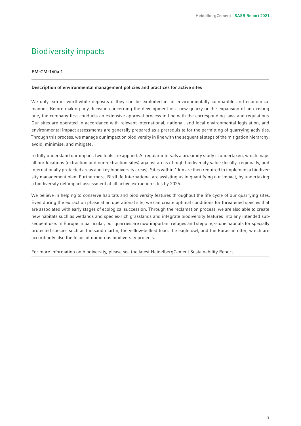# Biodiversity impacts

### EM-CM-160a.1

#### Description of environmental management policies and practices for active sites

We only extract worthwhile deposits if they can be exploited in an environmentally compatible and economical manner. Before making any decision concerning the development of a new quarry or the expansion of an existing one, the company first conducts an extensive approval process in line with the corresponding laws and regulations. Our sites are operated in accordance with relevant international, national, and local environmental legislation, and environmental impact assessments are generally prepared as a prerequisite for the permitting of quarrying activities. Through this process, we manage our impact on biodiversity in line with the sequential steps of the mitigation hierarchy: avoid, minimise, and mitigate.

To fully understand our impact, two tools are applied. At regular intervals a proximity study is undertaken, which maps all our locations (extraction and non-extraction sites) against areas of high biodiversity value (locally, regionally, and internationally protected areas and key biodiversity areas). Sites within 1 km are then required to implement a biodiversity management plan. Furthermore, BirdLife International are assisting us in quantifying our impact, by undertaking a biodiversity net impact assessment at all active extraction sites by 2025.

We believe in helping to conserve habitats and biodiversity features throughout the life cycle of our quarrying sites. Even during the extraction phase at an operational site, we can create optimal conditions for threatened species that are associated with early stages of ecological succession. Through the reclamation process, we are also able to create new habitats such as wetlands and species-rich grasslands and integrate biodiversity features into any intended subsequent use. In Europe in particular, our quarries are now important refuges and stepping-stone habitats for specially protected species such as the sand martin, the yellow-bellied toad, the eagle owl, and the Eurasian otter, which are accordingly also the focus of numerous biodiversity projects.

For more information on biodiversity, please see the latest HeidelbergCement Sustainability Report.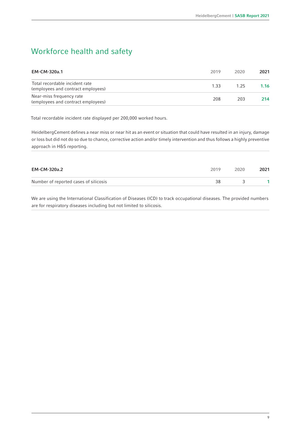### Workforce health and safety

| EM-CM-320a.1                                                         | 2019 | 2020 | 2021 |
|----------------------------------------------------------------------|------|------|------|
| Total recordable incident rate<br>(employees and contract employees) | 1.33 | 1 25 | 1.16 |
| Near-miss frequency rate<br>(employees and contract employees)       | 208  | 203  | 214  |

Total recordable incident rate displayed per 200,000 worked hours.

HeidelbergCement defines a near miss or near hit as an event or situation that could have resulted in an injury, damage or loss but did not do so due to chance, corrective action and/or timely intervention and thus follows a highly preventive approach in H&S reporting.

| EM-CM-320a.2                          | 2019 | 2020 | 2021 |
|---------------------------------------|------|------|------|
| Number of reported cases of silicosis | 38   |      |      |

We are using the International Classification of Diseases (ICD) to track occupational diseases. The provided numbers are for respiratory diseases including but not limited to silicosis.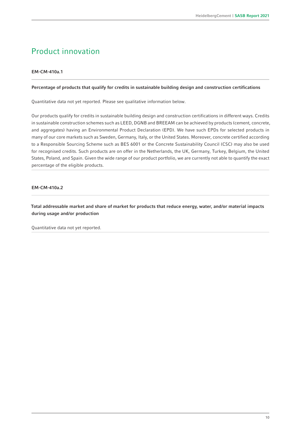# Product innovation

### EM-CM-410a.1

#### Percentage of products that qualify for credits in sustainable building design and construction certifications

Quantitative data not yet reported. Please see qualitative information below.

Our products qualify for credits in sustainable building design and construction certifications in different ways. Credits in sustainable construction schemes such as LEED, DGNB and BREEAM can be achieved by products (cement, concrete, and aggregates) having an Environmental Product Declaration (EPD). We have such EPDs for selected products in many of our core markets such as Sweden, Germany, Italy, or the United States. Moreover, concrete certified according to a Responsible Sourcing Scheme such as BES 6001 or the Concrete Sustainability Council (CSC) may also be used for recognised credits. Such products are on offer in the Netherlands, the UK, Germany, Turkey, Belgium, the United States, Poland, and Spain. Given the wide range of our product portfolio, we are currently not able to quantify the exact percentage of the eligible products.

#### EM-CM-410a.2

Total addressable market and share of market for products that reduce energy, water, and/or material impacts during usage and/or production

Quantitative data not yet reported.